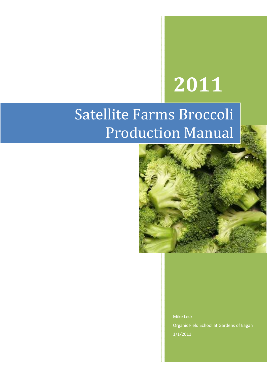# **2011**

## Satellite Farms Broccoli Production Manual



Mike Leck Organic Field School at Gardens of Eagan 1/1/2011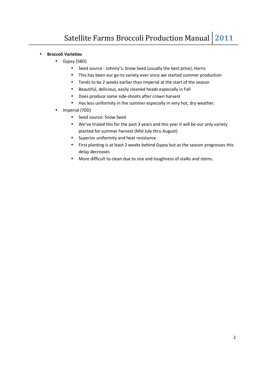- **Broccoli Varieties** 
	- Gypsy (58D)
		- Seed source : Johnny's, Snow Seed (usually the best price), Harris
		- This has been our go-to variety ever since we started summer production
		- Tends to be 2 weeks earlier than Imperial at the start of the season
		- Beautiful, delicious, easily cleaned heads especially in Fall
		- Does produce some side-shoots after crown harvest
		- Has less uniformity in the summer especially in very hot, dry weather.
	- Imperial (70D)
		- Seed source: Snow Seed
		- We've trialed this for the past 3 years and this year it will be our only variety planted for summer harvest (Mid July thru August)
		- Superior uniformity and heat resistance
		- First planting is at least 2 weeks behind Gypsy but as the season progresses this delay decreases
		- More difficult to clean due to size and toughness of stalks and stems.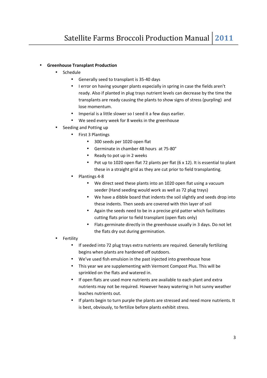#### • **Greenhouse Transplant Production**

- Schedule
	- Generally seed to transplant is 35-40 days
	- I error on having younger plants especially in spring in case the fields aren't ready. Also if planted in plug trays nutrient levels can decrease by the time the transplants are ready causing the plants to show signs of stress (purpling) and lose momentum.
	- Imperial is a little slower so I seed it a few days earlier.
	- We seed every week for 8 weeks in the greenhouse
- Seeding and Potting up
	- First 3 Plantings
		- 300 seeds per 1020 open flat
		- Germinate in chamber 48 hours at 75-80°
		- Ready to pot up in 2 weeks
		- Pot up to 1020 open flat 72 plants per flat (6 x 12). It is essential to plant these in a straight grid as they are cut prior to field transplanting.
	- Plantings 4-8
		- We direct seed these plants into an 1020 open flat using a vacuum seeder (Hand seeding would work as well as 72 plug trays)
		- We have a dibble board that indents the soil slightly and seeds drop into these indents. Then seeds are covered with thin layer of soil
		- Again the seeds need to be in a precise grid patter which facilitates cutting flats prior to field transplant (open flats only)
		- Flats germinate directly in the greenhouse usually in 3 days. Do not let the flats dry out during germination.
- **Fertility** 
	- If seeded into 72 plug trays extra nutrients are required. Generally fertilizing begins when plants are hardened off outdoors.
	- We've used fish emulsion in the past injected into greenhouse hose
	- This year we are supplementing with Vermont Compost Plus. This will be sprinkled on the flats and watered in.
	- If open flats are used more nutrients are available to each plant and extra nutrients may not be required. However heavy watering in hot sunny weather leaches nutrients out.
	- If plants begin to turn purple the plants are stressed and need more nutrients. It is best, obviously, to fertilize before plants exhibit stress.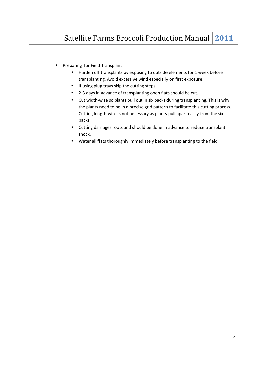- Preparing for Field Transplant
	- Harden off transplants by exposing to outside elements for 1 week before transplanting. Avoid excessive wind especially on first exposure.
	- If using plug trays skip the cutting steps.
	- 2-3 days in advance of transplanting open flats should be cut.
	- Cut width-wise so plants pull out in six packs during transplanting. This is why the plants need to be in a precise grid pattern to facilitate this cutting process. Cutting length-wise is not necessary as plants pull apart easily from the six packs.
	- Cutting damages roots and should be done in advance to reduce transplant shock.
	- Water all flats thoroughly immediately before transplanting to the field.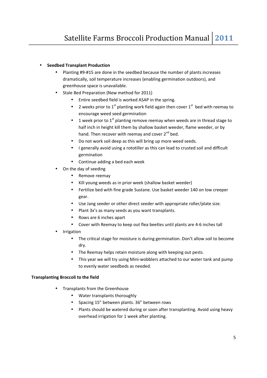#### • **Seedbed Transplant Production**

- Planting #9-#15 are done in the seedbed because the number of plants increases dramatically, soil temperature increases (enabling germination outdoors), and greenhouse space is unavailable.
- Stale Bed Preparation (New method for 2011)
	- Entire seedbed field is worked ASAP in the spring.
	- 2 weeks prior to 1<sup>st</sup> planting work field again then cover 1<sup>st</sup> bed with reemay to encourage weed seed germination
	- 1 week prior to  $1^{st}$  planting remove reemay when weeds are in thread stage to half inch in height kill them by shallow basket weeder, flame weeder, or by hand. Then recover with reemay and cover  $2^{nd}$  bed.
	- Do not work soil deep as this will bring up more weed seeds.
	- I generally avoid using a rototiller as this can lead to crusted soil and difficult germination
	- Continue adding a bed each week
- On the day of seeding
	- Remove reemay
	- Kill young weeds as in prior week (shallow basket weeder)
	- Fertilize bed with fine grade Sustane. Use basket weeder 140 on low creeper gear.
	- Use Jang seeder or other direct seeder with appropriate roller/plate size.
	- Plant 3x's as many seeds as you want transplants.
	- Rows are 6 inches apart
	- Cover with Reemay to keep out flea beetles until plants are 4-6 inches tall
- **Irrigation** 
	- The critical stage for moisture is during germination. Don't allow soil to become dry.
	- The Reemay helps retain moisture along with keeping out pests.
	- This year we will try using Mini-wobblers attached to our water tank and pump to evenly water seedbeds as needed.

#### **Transplanting Broccoli to the field**

- Transplants from the Greenhouse
	- Water transplants thoroughly
	- Spacing 15" between plants. 36" between rows
	- Plants should be watered during or soon after transplanting. Avoid using heavy overhead irrigation for 1 week after planting.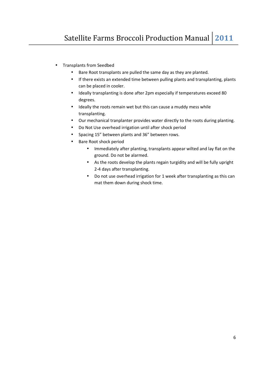- Transplants from Seedbed
	- Bare Root transplants are pulled the same day as they are planted.
	- If there exists an extended time between pulling plants and transplanting, plants can be placed in cooler.
	- Ideally transplanting is done after 2pm especially if temperatures exceed 80 degrees.
	- Ideally the roots remain wet but this can cause a muddy mess while transplanting.
	- Our mechanical tranplanter provides water directly to the roots during planting.
	- Do Not Use overhead irrigation until after shock period
	- Spacing 15" between plants and 36" between rows.
	- Bare Root shock period
		- Immediately after planting, transplants appear wilted and lay flat on the ground. Do not be alarmed.
		- As the roots develop the plants regain turgidity and will be fully upright 2-4 days after transplanting.
		- Do not use overhead irrigation for 1 week after transplanting as this can mat them down during shock time.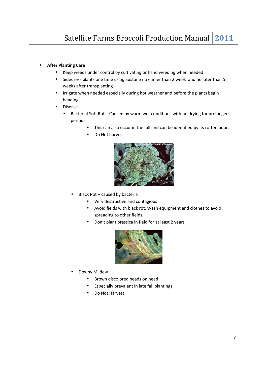#### • **After Planting Care**

- Keep weeds under control by cultivating or hand weeding when needed
- Sidedress plants one time using Sustane no earlier than 2 week and no later than 5 weeks after transplanting
- Irrigate when needed especially during hot weather and before the plants begin heading.
- Disease
	- Bacterial Soft Rot Caused by warm wet conditions with no drying for prolonged periods.
		- This can also occur in the fall and can be identified by its rotten odor.
		- Do Not harvest



- Black Rot caused by bacteria
	- Very destructive and contagious
	- Avoid fields with black rot. Wash equipment and clothes to avoid spreading to other fields.
	- Don't plant brassica in field for at least 2 years.



- Downy Mildew
	- Brown discolored beads on head
	- Especially prevalent in late fall plantings
	- Do Not Harvest.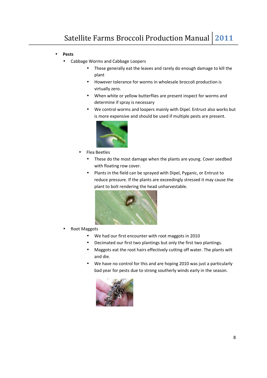- **Pests** 
	- Cabbage Worms and Cabbage Loopers
		- These generally eat the leaves and rarely do enough damage to kill the plant
		- However tolerance for worms in wholesale broccoli production is virtually zero.
		- When white or yellow butterflies are present inspect for worms and determine if spray is necessary
		- We control worms and loopers mainly with Dipel. Entrust also works but is more expensive and should be used if multiple pests are present.



- Flea Beetles
	- These do the most damage when the plants are young. Cover seedbed with floating row cover.
	- Plants in the field can be sprayed with Dipel, Pyganic, or Entrust to reduce pressure. If the plants are exceedingly stressed it may cause the plant to bolt rendering the head unharvestable.



- Root Maggots
	- We had our first encounter with root maggots in 2010
	- Decimated our first two plantings but only the first two plantings.
	- Maggots eat the root hairs effectively cutting off water. The plants wilt and die.
	- We have no control for this and are hoping 2010 was just a particularly bad year for pests due to strong southerly winds early in the season.

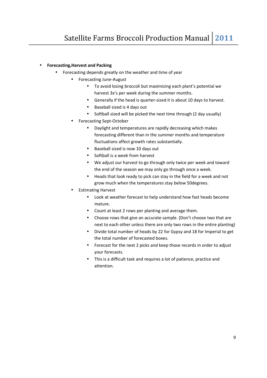### • **Forecasting,Harvest and Packing**

- Forecasting depends greatly on the weather and time of year
	- Forecasting June-August
		- To avoid losing broccoli but maximizing each plant's potential we harvest 3x's per week during the summer months.
		- Generally if the head is quarter-sized it is about 10 days to harvest.
		- Baseball sized is 4 days out
		- Softball sized will be picked the next time through (2 day usually)
	- Forecasting Sept-October
		- Daylight and temperatures are rapidly decreasing which makes forecasting different than in the summer months and temperature fluctuations affect growth rates substantially.
		- Baseball sized is now 10 days out
		- Softball is a week from harvest
		- We adjust our harvest to go through only twice per week and toward the end of the season we may only go through once a week.
		- Heads that look ready to pick can stay in the field for a week and not grow much when the temperatures stay below 50degrees.
	- Estimating Harvest
		- Look at weather forecast to help understand how fast heads become mature.
		- Count at least 2 rows per planting and average them.
		- Choose rows that give an accurate sample. (Don't choose two that are next to each other unless there are only two rows in the entire planting)
		- Divide total number of heads by 22 for Gypsy and 18 for Imperial to get the total number of forecasted boxes.
		- Forecast for the next 2 picks and keep those records in order to adjust your forecasts.
		- This is a difficult task and requires a lot of patience, practice and attention.